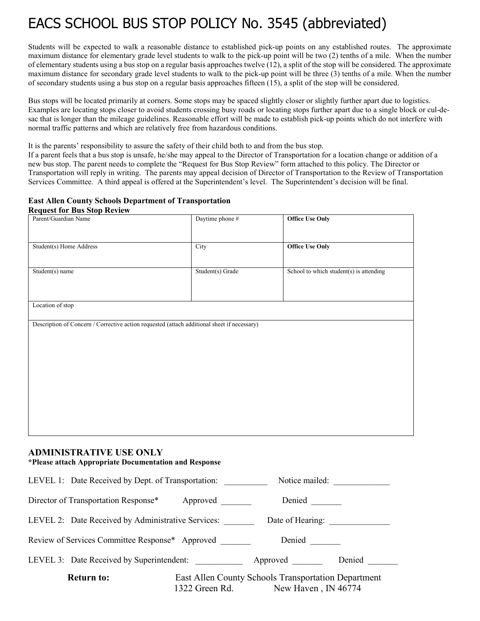# EACS SCHOOL BUS STOP POLICY No. 3545 (abbreviated)

Students will be expected to walk a reasonable distance to established pick-up points on any established routes. The approximate maximum distance for elementary grade level students to walk to the pick-up point will be two (2) tenths of a mile. When the number of elementary students using a bus stop on a regular basis approaches twelve (12), a split of the stop will be considered. The approximate maximum distance for secondary grade level students to walk to the pick-up point will be three (3) tenths of a mile. When the number of secondary students using a bus stop on a regular basis approaches fifteen (15), a split of the stop will be considered.

Bus stops will be located primarily at corners. Some stops may be spaced slightly closer or slightly further apart due to logistics. Examples are locating stops closer to avoid students crossing busy roads or locating stops further apart due to a single block or cul-desac that is longer than the mileage guidelines. Reasonable effort will be made to establish pick-up points which do not interfere with normal traffic patterns and which are relatively free from hazardous conditions.

It is the parents' responsibility to assure the safety of their child both to and from the bus stop.

If a parent feels that a bus stop is unsafe, he/she may appeal to the Director of Transportation for a location change or addition of a new bus stop. The parent needs to complete the "Request for Bus Stop Review" form attached to this policy. The Director or Transportation will reply in writing. The parents may appeal decision of Director of Transportation to the Review of Transportation Services Committee. A third appeal is offered at the Superintendent's level. The Superintendent's decision will be final.

#### **East Allen County Schools Department of Transportation Request for Bus Stop Review**

| Parent/Guardian Name                                                                        | Daytime phone #  | <b>Office Use Only</b>                  |
|---------------------------------------------------------------------------------------------|------------------|-----------------------------------------|
| Student(s) Home Address                                                                     | City             | <b>Office Use Only</b>                  |
| Student $(s)$ name                                                                          | Student(s) Grade | School to which student(s) is attending |
| Location of stop                                                                            |                  |                                         |
| Description of Concern / Corrective action requested (attach additional sheet if necessary) |                  |                                         |
|                                                                                             |                  |                                         |
|                                                                                             |                  |                                         |
|                                                                                             |                  |                                         |
|                                                                                             |                  |                                         |
| <b>ADMINISTRATIVE USE ONLY</b><br>*Please attach Appropriate Documentation and Response     |                  |                                         |

| LEVEL 1: Date Received by Dept. of Transportation: |          | Notice mailed:                                                                            |        |
|----------------------------------------------------|----------|-------------------------------------------------------------------------------------------|--------|
| Director of Transportation Response*               | Approved |                                                                                           |        |
| LEVEL 2: Date Received by Administrative Services: |          | Date of Hearing: __________                                                               |        |
| Review of Services Committee Response* Approved    |          | Denied                                                                                    |        |
| LEVEL 3: Date Received by Superintendent:          |          | Approved                                                                                  | Denied |
| <b>Return to:</b>                                  |          | East Allen County Schools Transportation Department<br>1322 Green Rd. New Haven, IN 46774 |        |